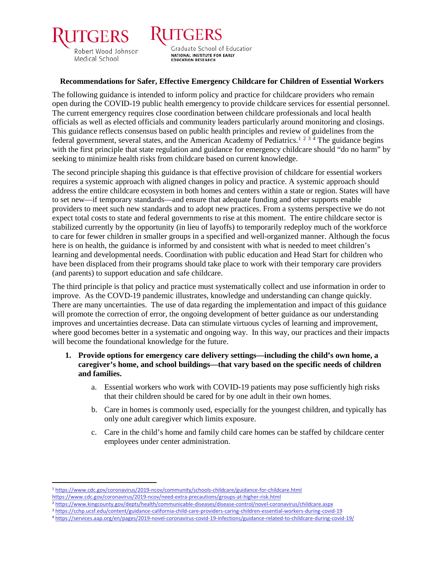

Graduate School of Education NATIONAL INSTITUTE FOR EARLY **EDUCATION RESEARCH** 

ERS

## **Recommendations for Safer, Effective Emergency Childcare for Children of Essential Workers**

The following guidance is intended to inform policy and practice for childcare providers who remain open during the COVID-19 public health emergency to provide childcare services for essential personnel. The current emergency requires close coordination between childcare professionals and local health officials as well as elected officials and community leaders particularly around monitoring and closings. This guidance reflects consensus based on public health principles and review of guidelines from the federal government, several states, and the American Academy of Pediatrics.<sup>[1](#page-0-0)[2](#page-0-1)[3](#page-0-2)[4](#page-0-3)</sup> The guidance begins with the first principle that state regulation and guidance for emergency childcare should "do no harm" by seeking to minimize health risks from childcare based on current knowledge.

The second principle shaping this guidance is that effective provision of childcare for essential workers requires a systemic approach with aligned changes in policy and practice. A systemic approach should address the entire childcare ecosystem in both homes and centers within a state or region. States will have to set new—if temporary standards—and ensure that adequate funding and other supports enable providers to meet such new standards and to adopt new practices. From a systems perspective we do not expect total costs to state and federal governments to rise at this moment. The entire childcare sector is stabilized currently by the opportunity (in lieu of layoffs) to temporarily redeploy much of the workforce to care for fewer children in smaller groups in a specified and well-organized manner. Although the focus here is on health, the guidance is informed by and consistent with what is needed to meet children's learning and developmental needs. Coordination with public education and Head Start for children who have been displaced from their programs should take place to work with their temporary care providers (and parents) to support education and safe childcare.

The third principle is that policy and practice must systematically collect and use information in order to improve. As the COVD-19 pandemic illustrates, knowledge and understanding can change quickly. There are many uncertainties. The use of data regarding the implementation and impact of this guidance will promote the correction of error, the ongoing development of better guidance as our understanding improves and uncertainties decrease. Data can stimulate virtuous cycles of learning and improvement, where good becomes better in a systematic and ongoing way. In this way, our practices and their impacts will become the foundational knowledge for the future.

- **1. Provide options for emergency care delivery settings—including the child's own home, a caregiver's home, and school buildings—that vary based on the specific needs of children and families.**
	- a. Essential workers who work with COVID-19 patients may pose sufficiently high risks that their children should be cared for by one adult in their own homes.
	- b. Care in homes is commonly used, especially for the youngest children, and typically has only one adult caregiver which limits exposure.
	- c. Care in the child's home and family child care homes can be staffed by childcare center employees under center administration.

<span id="page-0-2"></span><sup>3</sup> <https://cchp.ucsf.edu/content/guidance-california-child-care-providers-caring-children-essential-workers-during-covid-19>

<span id="page-0-0"></span> <sup>1</sup> <https://www.cdc.gov/coronavirus/2019-ncov/community/schools-childcare/guidance-for-childcare.html> <https://www.cdc.gov/coronavirus/2019-ncov/need-extra-precautions/groups-at-higher-risk.html>

<span id="page-0-1"></span><sup>2</sup> <https://www.kingcounty.gov/depts/health/communicable-diseases/disease-control/novel-coronavirus/childcare.aspx>

<span id="page-0-3"></span><sup>4</sup> <https://services.aap.org/en/pages/2019-novel-coronavirus-covid-19-infections/guidance-related-to-childcare-during-covid-19/>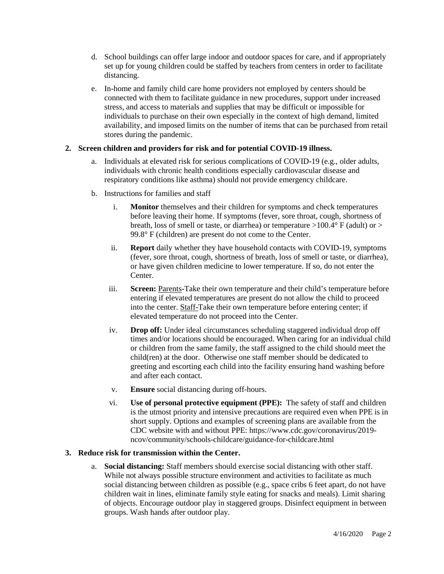- d. School buildings can offer large indoor and outdoor spaces for care, and if appropriately set up for young children could be staffed by teachers from centers in order to facilitate distancing.
- e. In-home and family child care home providers not employed by centers should be connected with them to facilitate guidance in new procedures, support under increased stress, and access to materials and supplies that may be difficult or impossible for individuals to purchase on their own especially in the context of high demand, limited availability, and imposed limits on the number of items that can be purchased from retail stores during the pandemic.

## **2. Screen children and providers for risk and for potential COVID-19 illness.**

- a. Individuals at elevated risk for serious complications of COVID-19 (e.g., older adults, individuals with chronic health conditions especially cardiovascular disease and respiratory conditions like asthma) should not provide emergency childcare.
- b. Instructions for families and staff
	- i. **Monitor** themselves and their children for symptoms and check temperatures before leaving their home. If symptoms (fever, sore throat, cough, shortness of breath, loss of smell or taste, or diarrhea) or temperature  $>100.4^{\circ}$  F (adult) or  $>$ 99.8° F (children) are present do not come to the Center.
	- ii. **Report** daily whether they have household contacts with COVID-19, symptoms (fever, sore throat, cough, shortness of breath, loss of smell or taste, or diarrhea), or have given children medicine to lower temperature. If so, do not enter the Center.
	- iii. **Screen:** Parents**-**Take their own temperature and their child's temperature before entering if elevated temperatures are present do not allow the child to proceed into the center. Staff-Take their own temperature before entering center; if elevated temperature do not proceed into the Center.
	- iv. **Drop off:** Under ideal circumstances scheduling staggered individual drop off times and/or locations should be encouraged. When caring for an individual child or children from the same family, the staff assigned to the child should meet the child(ren) at the door. Otherwise one staff member should be dedicated to greeting and escorting each child into the facility ensuring hand washing before and after each contact.
	- v. **Ensure** social distancing during off-hours.
	- vi. **Use of personal protective equipment (PPE):** The safety of staff and children is the utmost priority and intensive precautions are required even when PPE is in short supply. Options and examples of screening plans are available from the CDC website with and without PPE: https://www.cdc.gov/coronavirus/2019 ncov/community/schools-childcare/guidance-for-childcare.html

## **3. Reduce risk for transmission within the Center.**

a. **Social distancing:** Staff members should exercise social distancing with other staff. While not always possible structure environment and activities to facilitate as much social distancing between children as possible (e.g., space cribs 6 feet apart, do not have children wait in lines, eliminate family style eating for snacks and meals). Limit sharing of objects. Encourage outdoor play in staggered groups. Disinfect equipment in between groups. Wash hands after outdoor play.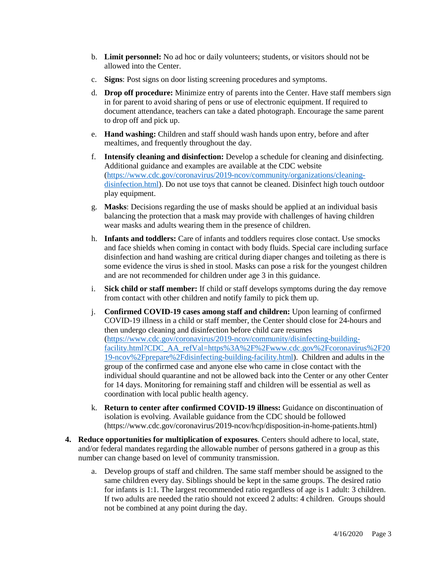- b. **Limit personnel:** No ad hoc or daily volunteers; students, or visitors should not be allowed into the Center.
- c. **Signs**: Post signs on door listing screening procedures and symptoms.
- d. **Drop off procedure:** Minimize entry of parents into the Center. Have staff members sign in for parent to avoid sharing of pens or use of electronic equipment. If required to document attendance, teachers can take a dated photograph. Encourage the same parent to drop off and pick up.
- e. **Hand washing:** Children and staff should wash hands upon entry, before and after mealtimes, and frequently throughout the day.
- f. **Intensify cleaning and disinfection:** Develop a schedule for cleaning and disinfecting. Additional guidance and examples are available at the CDC website [\(https://www.cdc.gov/coronavirus/2019-ncov/community/organizations/cleaning](https://www.cdc.gov/coronavirus/2019-ncov/community/organizations/cleaning-disinfection.html)[disinfection.html\)](https://www.cdc.gov/coronavirus/2019-ncov/community/organizations/cleaning-disinfection.html). Do not use toys that cannot be cleaned. Disinfect high touch outdoor play equipment.
- g. **Masks**: Decisions regarding the use of masks should be applied at an individual basis balancing the protection that a mask may provide with challenges of having children wear masks and adults wearing them in the presence of children.
- h. **Infants and toddlers:** Care of infants and toddlers requires close contact. Use smocks and face shields when coming in contact with body fluids. Special care including surface disinfection and hand washing are critical during diaper changes and toileting as there is some evidence the virus is shed in stool. Masks can pose a risk for the youngest children and are not recommended for children under age 3 in this guidance.
- i. **Sick child or staff member:** If child or staff develops symptoms during the day remove from contact with other children and notify family to pick them up.
- j. **Confirmed COVID-19 cases among staff and children:** Upon learning of confirmed COVID-19 illness in a child or staff member, the Center should close for 24-hours and then undergo cleaning and disinfection before child care resumes [\(https://www.cdc.gov/coronavirus/2019-ncov/community/disinfecting-building](https://www.cdc.gov/coronavirus/2019-ncov/community/disinfecting-building-facility.html?CDC_AA_refVal=https%3A%2F%2Fwww.cdc.gov%2Fcoronavirus%2F2019-ncov%2Fprepare%2Fdisinfecting-building-facility.html)[facility.html?CDC\\_AA\\_refVal=https%3A%2F%2Fwww.cdc.gov%2Fcoronavirus%2F20](https://www.cdc.gov/coronavirus/2019-ncov/community/disinfecting-building-facility.html?CDC_AA_refVal=https%3A%2F%2Fwww.cdc.gov%2Fcoronavirus%2F2019-ncov%2Fprepare%2Fdisinfecting-building-facility.html) [19-ncov%2Fprepare%2Fdisinfecting-building-facility.html\)](https://www.cdc.gov/coronavirus/2019-ncov/community/disinfecting-building-facility.html?CDC_AA_refVal=https%3A%2F%2Fwww.cdc.gov%2Fcoronavirus%2F2019-ncov%2Fprepare%2Fdisinfecting-building-facility.html). Children and adults in the group of the confirmed case and anyone else who came in close contact with the individual should quarantine and not be allowed back into the Center or any other Center for 14 days. Monitoring for remaining staff and children will be essential as well as coordination with local public health agency.
- k. **Return to center after confirmed COVID-19 illness:** Guidance on discontinuation of isolation is evolving. Available guidance from the CDC should be followed (https://www.cdc.gov/coronavirus/2019-ncov/hcp/disposition-in-home-patients.html)
- **4. Reduce opportunities for multiplication of exposures**. Centers should adhere to local, state, and/or federal mandates regarding the allowable number of persons gathered in a group as this number can change based on level of community transmission.
	- a. Develop groups of staff and children. The same staff member should be assigned to the same children every day. Siblings should be kept in the same groups. The desired ratio for infants is 1:1. The largest recommended ratio regardless of age is 1 adult: 3 children. If two adults are needed the ratio should not exceed 2 adults: 4 children. Groups should not be combined at any point during the day.